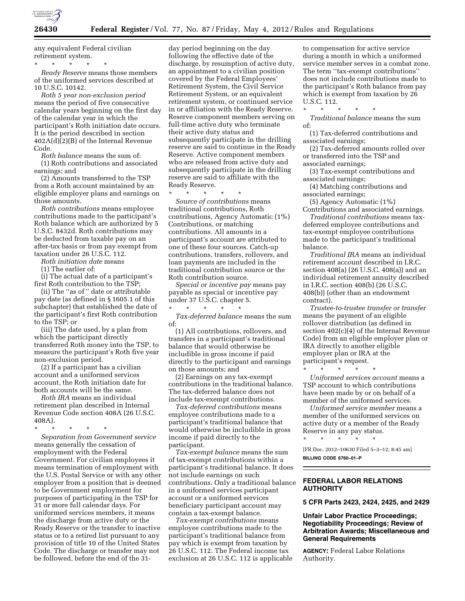

any equivalent Federal civilian retirement system.

\* \* \* \* \* *Ready Reserve* means those members of the uniformed services described at 10 U.S.C. 10142.

*Roth 5 year non-exclusion period*  means the period of five consecutive calendar years beginning on the first day of the calendar year in which the participant's Roth initiation date occurs. It is the period described in section 402A(d)(2)(B) of the Internal Revenue Code.

*Roth balance* means the sum of: (1) Roth contributions and associated earnings; and

(2) Amounts transferred to the TSP from a Roth account maintained by an eligible employer plans and earnings on those amounts.

*Roth contributions* means employee contributions made to the participant's Roth balance which are authorized by 5 U.S.C. 8432d. Roth contributions may be deducted from taxable pay on an after-tax basis or from pay exempt from taxation under 26 U.S.C. 112.

*Roth initiation date* means

(1) The earlier of:

(i) The actual date of a participant's first Roth contribution to the TSP;

(ii) The ''as of '' date or attributable pay date (as defined in § 1605.1 of this subchapter) that established the date of the participant's first Roth contribution to the TSP; or

(iii) The date used, by a plan from which the participant directly transferred Roth money into the TSP, to measure the participant's Roth five year non-exclusion period.

(2) If a participant has a civilian account and a uniformed services account, the Roth initiation date for both accounts will be the same.

*Roth IRA* means an individual retirement plan described in Internal Revenue Code section 408A (26 U.S.C. 408A).

\* \* \* \* \*

*Separation from Government service*  means generally the cessation of employment with the Federal Government. For civilian employees it means termination of employment with the U.S. Postal Service or with any other employer from a position that is deemed to be Government employment for purposes of participating in the TSP for 31 or more full calendar days. For uniformed services members, it means the discharge from active duty or the Ready Reserve or the transfer to inactive status or to a retired list pursuant to any provision of title 10 of the United States Code. The discharge or transfer may not be followed, before the end of the 31-

day period beginning on the day following the effective date of the discharge, by resumption of active duty, an appointment to a civilian position covered by the Federal Employees' Retirement System, the Civil Service Retirement System, or an equivalent retirement system, or continued service in or affiliation with the Ready Reserve. Reserve component members serving on full-time active duty who terminate their active duty status and subsequently participate in the drilling reserve are said to continue in the Ready Reserve. Active component members who are released from active duty and subsequently participate in the drilling reserve are said to affiliate with the Ready Reserve.

\* \* \* \* \*

*Source of contributions* means traditional contributions, Roth contributions, Agency Automatic (1%) Contributions, or matching contributions. All amounts in a participant's account are attributed to one of these four sources. Catch-up contributions, transfers, rollovers, and loan payments are included in the traditional contribution source or the Roth contribution source.

*Special or incentive pay* means pay payable as special or incentive pay under 37 U.S.C. chapter 5. \* \* \* \* \*

*Tax-deferred balance* means the sum of:

(1) All contributions, rollovers, and transfers in a participant's traditional balance that would otherwise be includible in gross income if paid directly to the participant and earnings on those amounts; and

(2) Earnings on any tax-exempt contributions in the traditional balance. The tax-deferred balance does not include tax-exempt contributions.

*Tax-deferred contributions* means employee contributions made to a participant's traditional balance that would otherwise be includible in gross income if paid directly to the participant.

*Tax-exempt balance* means the sum of tax-exempt contributions within a participant's traditional balance. It does not include earnings on such contributions. Only a traditional balance in a uniformed services participant account or a uniformed services beneficiary participant account may contain a tax-exempt balance.

*Tax-exempt contributions* means employee contributions made to the participant's traditional balance from pay which is exempt from taxation by 26 U.S.C. 112. The Federal income tax exclusion at 26 U.S.C. 112 is applicable to compensation for active service during a month in which a uniformed service member serves in a combat zone. The term ''tax-exempt contributions'' does not include contributions made to the participant's Roth balance from pay which is exempt from taxation by 26 U.S.C. 112.

\* \* \* \* \* *Traditional balance* means the sum of:

(1) Tax-deferred contributions and associated earnings;

(2) Tax-deferred amounts rolled over or transferred into the TSP and associated earnings;

(3) Tax-exempt contributions and associated earnings;

(4) Matching contributions and associated earnings;

(5) Agency Automatic (1%) Contributions and associated earnings.

*Traditional contributions* means taxdeferred employee contributions and tax-exempt employee contributions made to the participant's traditional balance.

*Traditional IRA* means an individual retirement account described in I.R.C. section 408(a) (26 U.S.C. 408(a)) and an individual retirement annuity described in I.R.C. section 408(b) (26 U.S.C. 408(b)) (other than an endowment contract).

*Trustee-to-trustee transfer or transfer*  means the payment of an eligible rollover distribution (as defined in section 402(c)(4) of the Internal Revenue Code) from an eligible employer plan or IRA directly to another eligible employer plan or IRA at the participant's request.

\* \* \* \* \* *Uniformed services account* means a TSP account to which contributions have been made by or on behalf of a member of the uniformed services.

*Uniformed service member* means a member of the uniformed services on active duty or a member of the Ready Reserve in any pay status. \* \* \* \* \*

[FR Doc. 2012–10630 Filed 5–3–12; 8:45 am] **BILLING CODE 6760–01–P** 

## **FEDERAL LABOR RELATIONS AUTHORITY**

**5 CFR Parts 2423, 2424, 2425, and 2429** 

## **Unfair Labor Practice Proceedings; Negotiability Proceedings; Review of Arbitration Awards; Miscellaneous and General Requirements**

**AGENCY:** Federal Labor Relations Authority.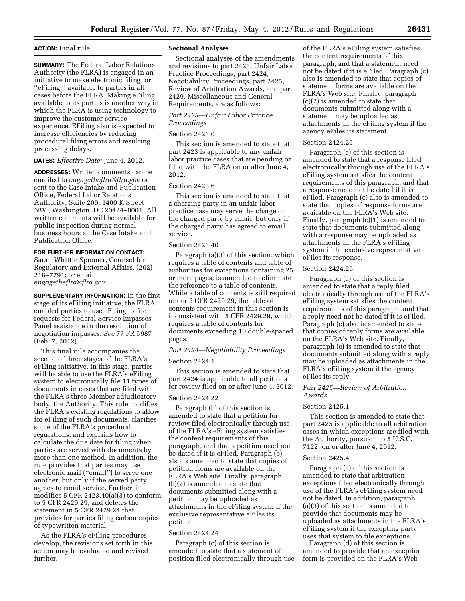## **ACTION:** Final rule.

**SUMMARY:** The Federal Labor Relations Authority (the FLRA) is engaged in an initiative to make electronic filing, or ''eFiling,'' available to parties in all cases before the FLRA. Making eFiling available to its parties is another way in which the FLRA is using technology to improve the customer-service experience. EFiling also is expected to increase efficiencies by reducing procedural filing errors and resulting processing delays.

**DATES:** *Effective Date:* June 4, 2012.

**ADDRESSES:** Written comments can be emailed to *[engagetheflra@flra.gov](mailto:engagetheflra@flra.gov)* or sent to the Case Intake and Publication Office, Federal Labor Relations Authority, Suite 200, 1400 K Street NW., Washington, DC 20424–0001. All written comments will be available for public inspection during normal business hours at the Case Intake and Publication Office.

## **FOR FURTHER INFORMATION CONTACT:**

Sarah Whittle Spooner, Counsel for Regulatory and External Affairs, (202) 218–7791; or email: *[engagetheflra@flra.gov.](mailto:engagetheflra@flra.gov)* 

**SUPPLEMENTARY INFORMATION:** In the first stage of its eFiling initiative, the FLRA enabled parties to use eFiling to file requests for Federal Service Impasses Panel assistance in the resolution of negotiation impasses. *See* 77 FR 5987 (Feb. 7, 2012).

This final rule accompanies the second of three stages of the FLRA's eFiling initiative. In this stage, parties will be able to use the FLRA's eFiling system to electronically file 11 types of documents in cases that are filed with the FLRA's three-Member adjudicatory body, the Authority. This rule modifies the FLRA's existing regulations to allow for eFiling of such documents, clarifies some of the FLRA's procedural regulations, and explains how to calculate the due date for filing when parties are served with documents by more than one method. In addition, the rule provides that parties may use electronic mail (''email'') to serve one another, but only if the served party agrees to email service. Further, it modifies 5 CFR 2423.40(a)(3) to conform to 5 CFR 2429.29, and deletes the statement in 5 CFR 2429.24 that provides for parties filing carbon copies of typewritten material.

As the FLRA's eFiling procedures develop, the revisions set forth in this action may be evaluated and revised further.

#### **Sectional Analyses**

Sectional analyses of the amendments and revisions to part 2423, Unfair Labor Practice Proceedings, part 2424, Negotiability Proceedings, part 2425, Review of Arbitration Awards, and part 2429, Miscellaneous and General Requirements, are as follows:

## *Part 2423—Unfair Labor Practice Proceedings*

## Section 2423.0

This section is amended to state that part 2423 is applicable to any unfair labor practice cases that are pending or filed with the FLRA on or after June 4, 2012.

## Section 2423.6

This section is amended to state that a charging party in an unfair labor practice case may serve the charge on the charged party by email, but only if the charged party has agreed to email service.

#### Section 2423.40

Paragraph (a)(3) of this section, which requires a table of contents and table of authorities for exceptions containing 25 or more pages, is amended to eliminate the reference to a table of contents. While a table of contents is still required under 5 CFR 2429.29, the table of contents requirement in this section is inconsistent with 5 CFR 2429.29, which requires a table of contents for documents exceeding 10 double-spaced pages.

## *Part 2424—Negotiability Proceedings*

## Section 2424.1

This section is amended to state that part 2424 is applicable to all petitions for review filed on or after June 4, 2012.

#### Section 2424.22

Paragraph (b) of this section is amended to state that a petition for review filed electronically through use of the FLRA's eFiling system satisfies the content requirements of this paragraph, and that a petition need not be dated if it is eFiled. Paragraph (b) also is amended to state that copies of petition forms are available on the FLRA's Web site. Finally, paragraph (b)(2) is amended to state that documents submitted along with a petition may be uploaded as attachments in the eFiling system if the exclusive representative eFiles its petition.

#### Section 2424.24

Paragraph (c) of this section is amended to state that a statement of position filed electronically through use

of the FLRA's eFiling system satisfies the content requirements of this paragraph, and that a statement need not be dated if it is eFiled. Paragraph (c) also is amended to state that copies of statement forms are available on the FLRA's Web site. Finally, paragraph (c)(2) is amended to state that documents submitted along with a statement may be uploaded as attachments in the eFiling system if the agency eFiles its statement.

### Section 2424.25

Paragraph (c) of this section is amended to state that a response filed electronically through use of the FLRA's eFiling system satisfies the content requirements of this paragraph, and that a response need not be dated if it is eFiled. Paragraph (c) also is amended to state that copies of response forms are available on the FLRA's Web site. Finally, paragraph (c)(1) is amended to state that documents submitted along with a response may be uploaded as attachments in the FLRA's eFiling system if the exclusive representative eFiles its response.

## Section 2424.26

Paragraph (c) of this section is amended to state that a reply filed electronically through use of the FLRA's eFiling system satisfies the content requirements of this paragraph, and that a reply need not be dated if it is eFiled. Paragraph (c) also is amended to state that copies of reply forms are available on the FLRA's Web site. Finally, paragraph (c) is amended to state that documents submitted along with a reply may be uploaded as attachments in the FLRA's eFiling system if the agency eFiles its reply.

## *Part 2425—Review of Arbitration Awards*

## Section 2425.1

This section is amended to state that part 2425 is applicable to all arbitration cases in which exceptions are filed with the Authority, pursuant to 5 U.S.C. 7122, on or after June 4, 2012.

#### Section 2425.4

Paragraph (a) of this section is amended to state that arbitration exceptions filed electronically through use of the FLRA's eFiling system need not be dated. In addition, paragraph (a)(3) of this section is amended to provide that documents may be uploaded as attachments in the FLRA's eFiling system if the excepting party uses that system to file exceptions.

Paragraph (d) of this section is amended to provide that an exception form is provided on the FLRA's Web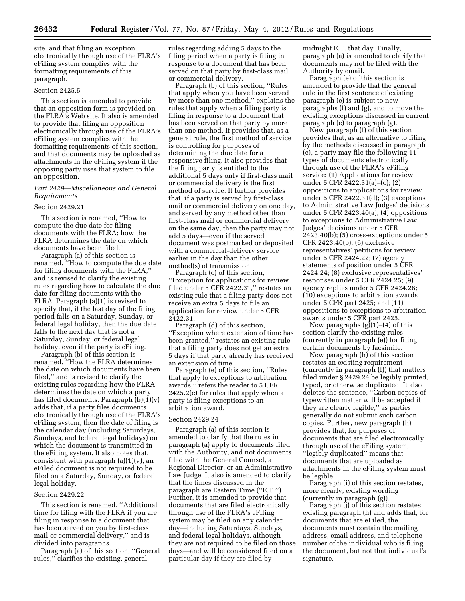site, and that filing an exception electronically through use of the FLRA's eFiling system complies with the formatting requirements of this paragraph.

## Section 2425.5

This section is amended to provide that an opposition form is provided on the FLRA's Web site. It also is amended to provide that filing an opposition electronically through use of the FLRA's eFiling system complies with the formatting requirements of this section, and that documents may be uploaded as attachments in the eFiling system if the opposing party uses that system to file an opposition.

## *Part 2429—Miscellaneous and General Requirements*

## Section 2429.21

This section is renamed, ''How to compute the due date for filing documents with the FLRA; how the FLRA determines the date on which documents have been filed.''

Paragraph (a) of this section is renamed, ''How to compute the due date for filing documents with the FLRA,'' and is revised to clarify the existing rules regarding how to calculate the due date for filing documents with the FLRA. Paragraph (a)(1) is revised to specify that, if the last day of the filing period falls on a Saturday, Sunday, or federal legal holiday, then the due date falls to the next day that is not a Saturday, Sunday, or federal legal holiday, even if the party is eFiling.

Paragraph (b) of this section is renamed, ''How the FLRA determines the date on which documents have been filed,'' and is revised to clarify the existing rules regarding how the FLRA determines the date on which a party has filed documents. Paragraph (b)(1)(v) adds that, if a party files documents electronically through use of the FLRA's eFiling system, then the date of filing is the calendar day (including Saturdays, Sundays, and federal legal holidays) on which the document is transmitted in the eFiling system. It also notes that, consistent with paragraph  $(a)(1)(v)$ , an eFiled document is not required to be filed on a Saturday, Sunday, or federal legal holiday.

## Section 2429.22

This section is renamed, ''Additional time for filing with the FLRA if you are filing in response to a document that has been served on you by first-class mail or commercial delivery,'' and is divided into paragraphs.

Paragraph (a) of this section, ''General rules,'' clarifies the existing, general

rules regarding adding 5 days to the filing period when a party is filing in response to a document that has been served on that party by first-class mail or commercial delivery.

Paragraph (b) of this section, ''Rules that apply when you have been served by more than one method,'' explains the rules that apply when a filing party is filing in response to a document that has been served on that party by more than one method. It provides that, as a general rule, the first method of service is controlling for purposes of determining the due date for a responsive filing. It also provides that the filing party is entitled to the additional 5 days only if first-class mail or commercial delivery is the first method of service. It further provides that, if a party is served by first-class mail or commercial delivery on one day, and served by any method other than first-class mail or commercial delivery on the same day, then the party may not add 5 days—even if the served document was postmarked or deposited with a commercial-delivery service earlier in the day than the other method(s) of transmission.

Paragraph (c) of this section, ''Exception for applications for review filed under 5 CFR 2422.31,'' restates an existing rule that a filing party does not receive an extra 5 days to file an application for review under 5 CFR 2422.31.

Paragraph (d) of this section, ''Exception where extension of time has been granted,'' restates an existing rule that a filing party does not get an extra 5 days if that party already has received an extension of time.

Paragraph (e) of this section, ''Rules that apply to exceptions to arbitration awards,'' refers the reader to 5 CFR 2425.2(c) for rules that apply when a party is filing exceptions to an arbitration award.

#### Section 2429.24

Paragraph (a) of this section is amended to clarify that the rules in paragraph (a) apply to documents filed with the Authority, and not documents filed with the General Counsel, a Regional Director, or an Administrative Law Judge. It also is amended to clarify that the times discussed in the paragraph are Eastern Time (''E.T.''). Further, it is amended to provide that documents that are filed electronically through use of the FLRA's eFiling system may be filed on any calendar day—including Saturdays, Sundays, and federal legal holidays, although they are not required to be filed on those days—and will be considered filed on a particular day if they are filed by

midnight E.T. that day. Finally, paragraph (a) is amended to clarify that documents may not be filed with the Authority by email.

Paragraph (e) of this section is amended to provide that the general rule in the first sentence of existing paragraph (e) is subject to new paragraphs (f) and (g), and to move the existing exceptions discussed in current paragraph (e) to paragraph (g).

New paragraph (f) of this section provides that, as an alternative to filing by the methods discussed in paragraph (e), a party may file the following 11 types of documents electronically through use of the FLRA's eFiling service: (1) Applications for review under 5 CFR 2422.31(a)–(c); (2) oppositions to applications for review under 5 CFR 2422.31(d); (3) exceptions to Administrative Law Judges' decisions under 5 CFR 2423.40(a); (4) oppositions to exceptions to Administrative Law Judges' decisions under 5 CFR 2423.40(b); (5) cross-exceptions under 5 CFR 2423.40(b); (6) exclusive representatives' petitions for review under 5 CFR 2424.22; (7) agency statements of position under 5 CFR 2424.24; (8) exclusive representatives' responses under 5 CFR 2424.25; (9) agency replies under 5 CFR 2424.26; (10) exceptions to arbitration awards under 5 CFR part 2425; and (11) oppositions to exceptions to arbitration awards under 5 CFR part 2425.

New paragraphs  $(g)(1)$ –(4) of this section clarify the existing rules (currently in paragraph (e)) for filing certain documents by facsimile.

New paragraph (h) of this section restates an existing requirement (currently in paragraph (f)) that matters filed under § 2429.24 be legibly printed, typed, or otherwise duplicated. It also deletes the sentence, ''Carbon copies of typewritten matter will be accepted if they are clearly legible,'' as parties generally do not submit such carbon copies. Further, new paragraph (h) provides that, for purposes of documents that are filed electronically through use of the eFiling system, ''legibly duplicated'' means that documents that are uploaded as attachments in the eFiling system must be legible.

Paragraph (i) of this section restates, more clearly, existing wording (currently in paragraph (g)).

Paragraph (j) of this section restates existing paragraph (h) and adds that, for documents that are eFiled, the documents must contain the mailing address, email address, and telephone number of the individual who is filing the document, but not that individual's signature.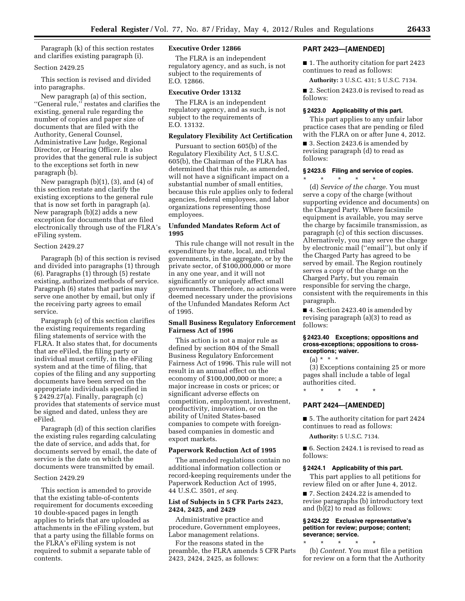Paragraph (k) of this section restates and clarifies existing paragraph (i).

## Section 2429.25

This section is revised and divided into paragraphs.

New paragraph (a) of this section, ''General rule,'' restates and clarifies the existing, general rule regarding the number of copies and paper size of documents that are filed with the Authority, General Counsel, Administrative Law Judge, Regional Director, or Hearing Officer. It also provides that the general rule is subject to the exceptions set forth in new paragraph (b).

New paragraph  $(b)(1)$ ,  $(3)$ , and  $(4)$  of this section restate and clarify the existing exceptions to the general rule that is now set forth in paragraph (a). New paragraph (b)(2) adds a new exception for documents that are filed electronically through use of the FLRA's eFiling system.

## Section 2429.27

Paragraph (b) of this section is revised and divided into paragraphs (1) through (6). Paragraphs (1) through (5) restate existing, authorized methods of service. Paragraph (6) states that parties may serve one another by email, but only if the receiving party agrees to email service.

Paragraph (c) of this section clarifies the existing requirements regarding filing statements of service with the FLRA. It also states that, for documents that are eFiled, the filing party or individual must certify, in the eFiling system and at the time of filing, that copies of the filing and any supporting documents have been served on the appropriate individuals specified in § 2429.27(a). Finally, paragraph (c) provides that statements of service must be signed and dated, unless they are eFiled.

Paragraph (d) of this section clarifies the existing rules regarding calculating the date of service, and adds that, for documents served by email, the date of service is the date on which the documents were transmitted by email.

#### Section 2429.29

This section is amended to provide that the existing table-of-contents requirement for documents exceeding 10 double-spaced pages in length applies to briefs that are uploaded as attachments in the eFiling system, but that a party using the fillable forms on the FLRA's eFiling system is not required to submit a separate table of contents.

## **Executive Order 12866**

The FLRA is an independent regulatory agency, and as such, is not subject to the requirements of E.O. 12866.

## **Executive Order 13132**

The FLRA is an independent regulatory agency, and as such, is not subject to the requirements of E.O. 13132.

## **Regulatory Flexibility Act Certification**

Pursuant to section 605(b) of the Regulatory Flexibility Act, 5 U.S.C. 605(b), the Chairman of the FLRA has determined that this rule, as amended, will not have a significant impact on a substantial number of small entities, because this rule applies only to federal agencies, federal employees, and labor organizations representing those employees.

## **Unfunded Mandates Reform Act of 1995**

This rule change will not result in the expenditure by state, local, and tribal governments, in the aggregate, or by the private sector, of \$100,000,000 or more in any one year, and it will not significantly or uniquely affect small governments. Therefore, no actions were deemed necessary under the provisions of the Unfunded Mandates Reform Act of 1995.

## **Small Business Regulatory Enforcement Fairness Act of 1996**

This action is not a major rule as defined by section 804 of the Small Business Regulatory Enforcement Fairness Act of 1996. This rule will not result in an annual effect on the economy of \$100,000,000 or more; a major increase in costs or prices; or significant adverse effects on competition, employment, investment, productivity, innovation, or on the ability of United States-based companies to compete with foreignbased companies in domestic and export markets.

### **Paperwork Reduction Act of 1995**

The amended regulations contain no additional information collection or record-keeping requirements under the Paperwork Reduction Act of 1995, 44 U.S.C. 3501, *et seq.* 

### **List of Subjects in 5 CFR Parts 2423, 2424, 2425, and 2429**

Administrative practice and procedure, Government employees, Labor management relations.

For the reasons stated in the preamble, the FLRA amends 5 CFR Parts 2423, 2424, 2425, as follows:

## **PART 2423—[AMENDED]**

■ 1. The authority citation for part 2423 continues to read as follows:

**Authority:** 3 U.S.C. 431; 5 U.S.C. 7134.

■ 2. Section 2423.0 is revised to read as follows:

## **§ 2423.0 Applicability of this part.**

This part applies to any unfair labor practice cases that are pending or filed with the FLRA on or after June 4, 2012.

■ 3. Section 2423.6 is amended by revising paragraph (d) to read as follows:

## **§ 2423.6 Filing and service of copies.**

\* \* \* \* \* (d) *Service of the charge.* You must serve a copy of the charge (without supporting evidence and documents) on the Charged Party. Where facsimile equipment is available, you may serve the charge by facsimile transmission, as paragraph (c) of this section discusses. Alternatively, you may serve the charge by electronic mail (''email''), but only if the Charged Party has agreed to be served by email. The Region routinely serves a copy of the charge on the Charged Party, but you remain

responsible for serving the charge, consistent with the requirements in this paragraph.

■ 4. Section 2423.40 is amended by revising paragraph (a)(3) to read as follows:

## **§ 2423.40 Exceptions; oppositions and cross-exceptions; oppositions to crossexceptions; waiver.**

(a) \* \* \*

(3) Exceptions containing 25 or more pages shall include a table of legal authorities cited.

\* \* \* \* \*

## **PART 2424—[AMENDED]**

■ 5. The authority citation for part 2424 continues to read as follows:

**Authority:** 5 U.S.C. 7134.

■ 6. Section 2424.1 is revised to read as follows:

#### **§ 2424.1 Applicability of this part.**

This part applies to all petitions for review filed on or after June 4, 2012.

■ 7. Section 2424.22 is amended to revise paragraphs (b) introductory text and (b)(2) to read as follows:

## **§ 2424.22 Exclusive representative's petition for review; purpose; content; severance; service.**

\* \* \* \* \*

(b) *Content.* You must file a petition for review on a form that the Authority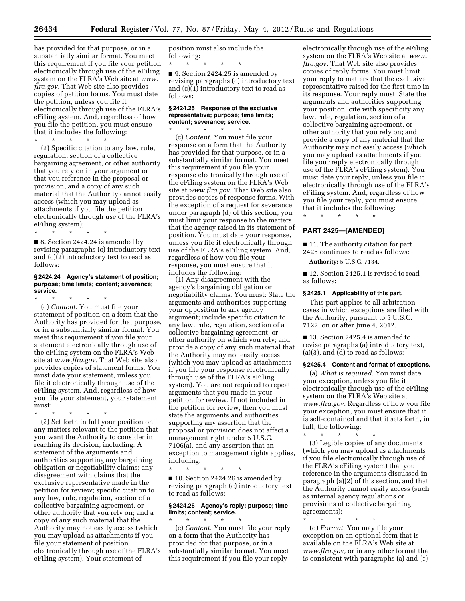has provided for that purpose, or in a substantially similar format. You meet this requirement if you file your petition electronically through use of the eFiling system on the FLRA's Web site at *[www.](http://www.flra.gov) [flra.gov.](http://www.flra.gov)* That Web site also provides copies of petition forms. You must date the petition, unless you file it electronically through use of the FLRA's eFiling system. And, regardless of how you file the petition, you must ensure that it includes the following:

\* \* \* \* \* (2) Specific citation to any law, rule, regulation, section of a collective bargaining agreement, or other authority that you rely on in your argument or that you reference in the proposal or provision, and a copy of any such material that the Authority cannot easily access (which you may upload as attachments if you file the petition electronically through use of the FLRA's eFiling system);

\* \* \* \* \* ■ 8. Section 2424.24 is amended by revising paragraphs (c) introductory text and (c)(2) introductory text to read as follows:

### **§ 2424.24 Agency's statement of position; purpose; time limits; content; severance; service.**

\* \* \* \* \* (c) *Content.* You must file your statement of position on a form that the Authority has provided for that purpose, or in a substantially similar format. You meet this requirement if you file your statement electronically through use of the eFiling system on the FLRA's Web site at *[www.flra.gov.](http://www.flra.gov)* That Web site also provides copies of statement forms. You must date your statement, unless you file it electronically through use of the eFiling system. And, regardless of how you file your statement, your statement must:

\* \* \* \* \* (2) Set forth in full your position on any matters relevant to the petition that you want the Authority to consider in reaching its decision, including: A statement of the arguments and authorities supporting any bargaining obligation or negotiability claims; any disagreement with claims that the exclusive representative made in the petition for review; specific citation to any law, rule, regulation, section of a collective bargaining agreement, or other authority that you rely on; and a copy of any such material that the Authority may not easily access (which you may upload as attachments if you file your statement of position electronically through use of the FLRA's eFiling system). Your statement of

position must also include the following:

\* \* \* \* \*

■ 9. Section 2424.25 is amended by revising paragraphs (c) introductory text and (c)(1) introductory text to read as follows:

## **§ 2424.25 Response of the exclusive representative; purpose; time limits; content; severance; service.**

\* \* \* \* \* (c) *Content.* You must file your response on a form that the Authority has provided for that purpose, or in a substantially similar format. You meet this requirement if you file your response electronically through use of the eFiling system on the FLRA's Web site at *[www.flra.gov.](http://www.flra.gov)* That Web site also provides copies of response forms. With the exception of a request for severance under paragraph (d) of this section, you must limit your response to the matters that the agency raised in its statement of position. You must date your response, unless you file it electronically through use of the FLRA's eFiling system. And, regardless of how you file your response, you must ensure that it includes the following:

(1) Any disagreement with the agency's bargaining obligation or negotiability claims. You must: State the arguments and authorities supporting your opposition to any agency argument; include specific citation to any law, rule, regulation, section of a collective bargaining agreement, or other authority on which you rely; and provide a copy of any such material that the Authority may not easily access (which you may upload as attachments if you file your response electronically through use of the FLRA's eFiling system). You are not required to repeat arguments that you made in your petition for review. If not included in the petition for review, then you must state the arguments and authorities supporting any assertion that the proposal or provision does not affect a management right under 5 U.S.C. 7106(a), and any assertion that an exception to management rights applies, including:

\* \* \* \* \* ■ 10. Section 2424.26 is amended by revising paragraph (c) introductory text to read as follows:

## **§ 2424.26 Agency's reply; purpose; time limits; content; service.**

\* \* \* \* \* (c) *Content.* You must file your reply on a form that the Authority has provided for that purpose, or in a substantially similar format. You meet this requirement if you file your reply

electronically through use of the eFiling system on the FLRA's Web site at *[www.](http://www.flra.gov) [flra.gov.](http://www.flra.gov)* That Web site also provides copies of reply forms. You must limit your reply to matters that the exclusive representative raised for the first time in its response. Your reply must: State the arguments and authorities supporting your position; cite with specificity any law, rule, regulation, section of a collective bargaining agreement, or other authority that you rely on; and provide a copy of any material that the Authority may not easily access (which you may upload as attachments if you file your reply electronically through use of the FLRA's eFiling system). You must date your reply, unless you file it electronically through use of the FLRA's eFiling system. And, regardless of how you file your reply, you must ensure that it includes the following:

**PART 2425—[AMENDED]** 

\* \* \* \* \*

■ 11. The authority citation for part 2425 continues to read as follows:

**Authority:** 5 U.S.C. 7134.

■ 12. Section 2425.1 is revised to read as follows:

## **§ 2425.1 Applicability of this part.**

This part applies to all arbitration cases in which exceptions are filed with the Authority, pursuant to 5 U.S.C. 7122, on or after June 4, 2012.

■ 13. Section 2425.4 is amended to revise paragraphs (a) introductory text, (a)(3), and (d) to read as follows:

#### **§ 2425.4 Content and format of exceptions.**

(a) *What is required.* You must date your exception, unless you file it electronically through use of the eFiling system on the FLRA's Web site at *[www.flra.gov.](http://www.flra.gov)* Regardless of how you file your exception, you must ensure that it is self-contained and that it sets forth, in full, the following:

\* \* \* \* \* (3) Legible copies of any documents (which you may upload as attachments if you file electronically through use of the FLRA's eFiling system) that you reference in the arguments discussed in paragraph (a)(2) of this section, and that the Authority cannot easily access (such as internal agency regulations or provisions of collective bargaining agreements);

\* \* \* \* \* (d) *Format.* You may file your exception on an optional form that is available on the FLRA's Web site at *[www.flra.gov,](http://www.flra.gov)* or in any other format that is consistent with paragraphs (a) and (c)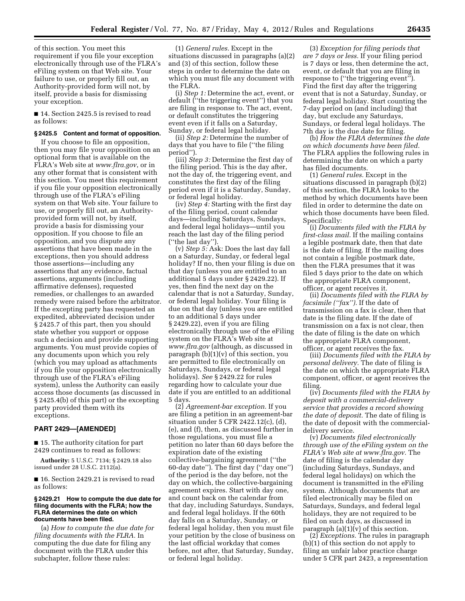of this section. You meet this requirement if you file your exception electronically through use of the FLRA's eFiling system on that Web site. Your failure to use, or properly fill out, an Authority-provided form will not, by itself, provide a basis for dismissing your exception.

■ 14. Section 2425.5 is revised to read as follows:

#### **§ 2425.5 Content and format of opposition.**

If you choose to file an opposition, then you may file your opposition on an optional form that is available on the FLRA's Web site at *[www.flra.gov](http://www.flra.gov)*, or in any other format that is consistent with this section. You meet this requirement if you file your opposition electronically through use of the FLRA's eFiling system on that Web site. Your failure to use, or properly fill out, an Authorityprovided form will not, by itself, provide a basis for dismissing your opposition. If you choose to file an opposition, and you dispute any assertions that have been made in the exceptions, then you should address those assertions—including any assertions that any evidence, factual assertions, arguments (including affirmative defenses), requested remedies, or challenges to an awarded remedy were raised before the arbitrator. If the excepting party has requested an expedited, abbreviated decision under § 2425.7 of this part, then you should state whether you support or oppose such a decision and provide supporting arguments. You must provide copies of any documents upon which you rely (which you may upload as attachments if you file your opposition electronically through use of the FLRA's eFiling system), unless the Authority can easily access those documents (as discussed in § 2425.4(b) of this part) or the excepting party provided them with its exceptions.

## **PART 2429—[AMENDED]**

■ 15. The authority citation for part 2429 continues to read as follows:

**Authority:** 5 U.S.C. 7134; § 2429.18 also issued under 28 U.S.C. 2112(a).

■ 16. Section 2429.21 is revised to read as follows:

#### **§ 2429.21 How to compute the due date for filing documents with the FLRA; how the FLRA determines the date on which documents have been filed.**

(a) *How to compute the due date for filing documents with the FLRA.* In computing the due date for filing any document with the FLRA under this subchapter, follow these rules:

(1) *General rules.* Except in the situations discussed in paragraphs (a)(2) and (3) of this section, follow these steps in order to determine the date on which you must file any document with the FLRA.

(i) *Step 1:* Determine the act, event, or default (''the triggering event'') that you are filing in response to. The act, event, or default constitutes the triggering event even if it falls on a Saturday, Sunday, or federal legal holiday.

(ii) *Step 2:* Determine the number of days that you have to file (''the filing period'').

(iii) *Step 3:* Determine the first day of the filing period. This is the day after, not the day of, the triggering event, and constitutes the first day of the filing period even if it is a Saturday, Sunday, or federal legal holiday.

(iv) *Step 4:* Starting with the first day of the filing period, count calendar days—including Saturdays, Sundays, and federal legal holidays—until you reach the last day of the filing period (''the last day'').

(v) *Step 5:* Ask: Does the last day fall on a Saturday, Sunday, or federal legal holiday? If no, then your filing is due on that day (unless you are entitled to an additional 5 days under § 2429.22). If yes, then find the next day on the calendar that is not a Saturday, Sunday, or federal legal holiday. Your filing is due on that day (unless you are entitled to an additional 5 days under § 2429.22), even if you are filing electronically through use of the eFiling system on the FLRA's Web site at *[www.flra.gov](http://www.flra.gov)* (although, as discussed in paragraph  $(b)(1)(v)$  of this section, you are permitted to file electronically on Saturdays, Sundays, or federal legal holidays). *See* § 2429.22 for rules regarding how to calculate your due date if you are entitled to an additional 5 days.

(2) *Agreement-bar exception.* If you are filing a petition in an agreement-bar situation under 5 CFR 2422.12(c), (d), (e), and (f), then, as discussed further in those regulations, you must file a petition no later than 60 days before the expiration date of the existing collective-bargaining agreement (''the 60-day date''). The first day (''day one'') of the period is the day before, not the day on which, the collective-bargaining agreement expires. Start with day one, and count back on the calendar from that day, including Saturdays, Sundays, and federal legal holidays. If the 60th day falls on a Saturday, Sunday, or federal legal holiday, then you must file your petition by the close of business on the last official workday that comes before, not after, that Saturday, Sunday, or federal legal holiday.

(3) *Exception for filing periods that are 7 days or less.* If your filing period is 7 days or less, then determine the act, event, or default that you are filing in response to (''the triggering event''). Find the first day after the triggering event that is not a Saturday, Sunday, or federal legal holiday. Start counting the 7-day period on (and including) that day, but exclude any Saturdays, Sundays, or federal legal holidays. The 7th day is the due date for filing.

(b) *How the FLRA determines the date on which documents have been filed.*  The FLRA applies the following rules in determining the date on which a party has filed documents.

(1) *General rules.* Except in the situations discussed in paragraph (b)(2) of this section, the FLRA looks to the method by which documents have been filed in order to determine the date on which those documents have been filed. Specifically:

(i) *Documents filed with the FLRA by first-class mail.* If the mailing contains a legible postmark date, then that date is the date of filing. If the mailing does not contain a legible postmark date, then the FLRA presumes that it was filed 5 days prior to the date on which the appropriate FLRA component, officer, or agent receives it.

(ii) *Documents filed with the FLRA by facsimile (''fax'').* If the date of transmission on a fax is clear, then that date is the filing date. If the date of transmission on a fax is not clear, then the date of filing is the date on which the appropriate FLRA component, officer, or agent receives the fax.

(iii) *Documents filed with the FLRA by personal delivery.* The date of filing is the date on which the appropriate FLRA component, officer, or agent receives the filing.

(iv) *Documents filed with the FLRA by deposit with a commercial-delivery service that provides a record showing the date of deposit.* The date of filing is the date of deposit with the commercialdelivery service.

(v) *Documents filed electronically through use of the eFiling system on the FLRA's Web site at [www.flra.gov.](http://www.flra.gov)* The date of filing is the calendar day (including Saturdays, Sundays, and federal legal holidays) on which the document is transmitted in the eFiling system. Although documents that are filed electronically may be filed on Saturdays, Sundays, and federal legal holidays, they are not required to be filed on such days, as discussed in paragraph  $(a)(1)(v)$  of this section.

(2) *Exceptions.* The rules in paragraph (b)(1) of this section do not apply to filing an unfair labor practice charge under 5 CFR part 2423, a representation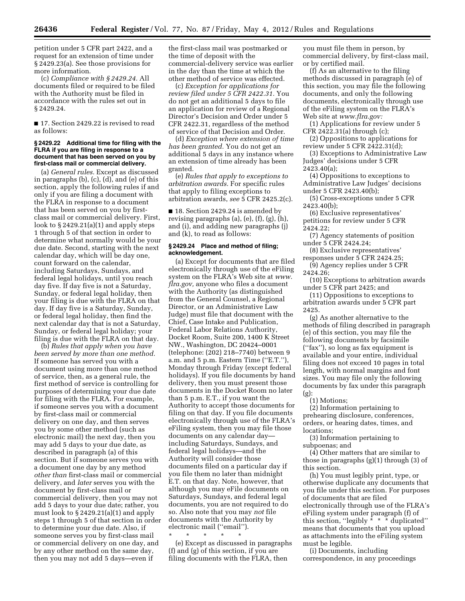petition under 5 CFR part 2422, and a request for an extension of time under § 2429.23(a). See those provisions for more information.

(c) *Compliance with § 2429.24.* All documents filed or required to be filed with the Authority must be filed in accordance with the rules set out in § 2429.24.

■ 17. Section 2429.22 is revised to read as follows:

## **§ 2429.22 Additional time for filing with the FLRA if you are filing in response to a document that has been served on you by first-class mail or commercial delivery.**

(a) *General rules.* Except as discussed in paragraphs (b), (c), (d), and (e) of this section, apply the following rules if and only if you are filing a document with the FLRA in response to a document that has been served on you by firstclass mail or commercial delivery. First, look to § 2429.21(a)(1) and apply steps 1 through 5 of that section in order to determine what normally would be your due date. Second, starting with the next calendar day, which will be day one, count forward on the calendar, including Saturdays, Sundays, and federal legal holidays, until you reach day five. If day five is not a Saturday, Sunday, or federal legal holiday, then your filing is due with the FLRA on that day. If day five is a Saturday, Sunday, or federal legal holiday, then find the next calendar day that is not a Saturday, Sunday, or federal legal holiday; your filing is due with the FLRA on that day.

(b) *Rules that apply when you have been served by more than one method.*  If someone has served you with a document using more than one method of service, then, as a general rule, the first method of service is controlling for purposes of determining your due date for filing with the FLRA. For example, if someone serves you with a document by first-class mail or commercial delivery on one day, and then serves you by some other method (such as electronic mail) the next day, then you may add 5 days to your due date, as described in paragraph (a) of this section. But if someone serves you with a document one day by any method *other than* first-class mail or commercial delivery, and *later* serves you with the document by first-class mail or commercial delivery, then you may not add 5 days to your due date; rather, you must look to § 2429.21(a)(1) and apply steps 1 through 5 of that section in order to determine your due date. Also, if someone serves you by first-class mail or commercial delivery on one day, and by any other method on the same day, then you may not add 5 days—even if

the first-class mail was postmarked or the time of deposit with the commercial-delivery service was earlier in the day than the time at which the other method of service was effected.

(c) *Exception for applications for review filed under 5 CFR 2422.31.* You do not get an additional 5 days to file an application for review of a Regional Director's Decision and Order under 5 CFR 2422.31, regardless of the method of service of that Decision and Order.

(d) *Exception where extension of time has been granted.* You do not get an additional 5 days in any instance where an extension of time already has been granted.

(e) *Rules that apply to exceptions to arbitration awards.* For specific rules that apply to filing exceptions to arbitration awards, *see* 5 CFR 2425.2(c).

■ 18. Section 2429.24 is amended by revising paragraphs (a), (e), (f), (g), (h), and (i), and adding new paragraphs (j) and (k), to read as follows:

## **§ 2429.24 Place and method of filing; acknowledgement.**

(a) Except for documents that are filed electronically through use of the eFiling system on the FLRA's Web site at *[www.](http://www.flra.gov) [flra.gov,](http://www.flra.gov)* anyone who files a document with the Authority (as distinguished from the General Counsel, a Regional Director, or an Administrative Law Judge) must file that document with the Chief, Case Intake and Publication, Federal Labor Relations Authority, Docket Room, Suite 200, 1400 K Street NW., Washington, DC 20424–0001 (telephone: (202) 218–7740) between 9 a.m. and 5 p.m. Eastern Time (''E.T.''), Monday through Friday (except federal holidays). If you file documents by hand delivery, then you must present those documents in the Docket Room no later than 5 p.m. E.T., if you want the Authority to accept those documents for filing on that day. If you file documents electronically through use of the FLRA's eFiling system, then you may file those documents on any calendar day including Saturdays, Sundays, and federal legal holidays—and the Authority will consider those documents filed on a particular day if you file them no later than midnight E.T. on that day. Note, however, that although you may eFile documents on Saturdays, Sundays, and federal legal documents, you are not required to do so. Also note that you may *not* file documents with the Authority by electronic mail (''email'').

\* \* \* \* \* (e) Except as discussed in paragraphs (f) and (g) of this section, if you are filing documents with the FLRA, then

you must file them in person, by commercial delivery, by first-class mail, or by certified mail.

(f) As an alternative to the filing methods discussed in paragraph (e) of this section, you may file the following documents, and only the following documents, electronically through use of the eFiling system on the FLRA's Web site at *[www.flra.gov:](http://www.flra.gov)* 

(1) Applications for review under 5 CFR 2422.31(a) through (c);

(2) Oppositions to applications for review under 5 CFR 2422.31(d);

(3) Exceptions to Administrative Law Judges' decisions under 5 CFR 2423.40(a);

(4) Oppositions to exceptions to Administrative Law Judges' decisions under 5 CFR 2423.40(b);

(5) Cross-exceptions under 5 CFR 2423.40(b);

(6) Exclusive representatives' petitions for review under 5 CFR 2424.22;

(7) Agency statements of position under 5 CFR 2424.24;

(8) Exclusive representatives' responses under 5 CFR 2424.25;

(9) Agency replies under 5 CFR 2424.26;

(10) Exceptions to arbitration awards under 5 CFR part 2425; and

(11) Oppositions to exceptions to arbitration awards under 5 CFR part 2425.

(g) As another alternative to the methods of filing described in paragraph (e) of this section, you may file the following documents by facsimile (''fax''), so long as fax equipment is available and your entire, individual filing does not exceed 10 pages in total length, with normal margins and font sizes. You may file only the following documents by fax under this paragraph (g):

(1) Motions;

(2) Information pertaining to prehearing disclosure, conferences, orders, or hearing dates, times, and locations;

(3) Information pertaining to subpoenas; and

(4) Other matters that are similar to those in paragraphs (g)(1) through (3) of this section.

(h) You must legibly print, type, or otherwise duplicate any documents that you file under this section. For purposes of documents that are filed electronically through use of the FLRA's eFiling system under paragraph (f) of this section, "legibly  $* * * d$ uplicated" means that documents that you upload as attachments into the eFiling system must be legible.

(i) Documents, including correspondence, in any proceedings